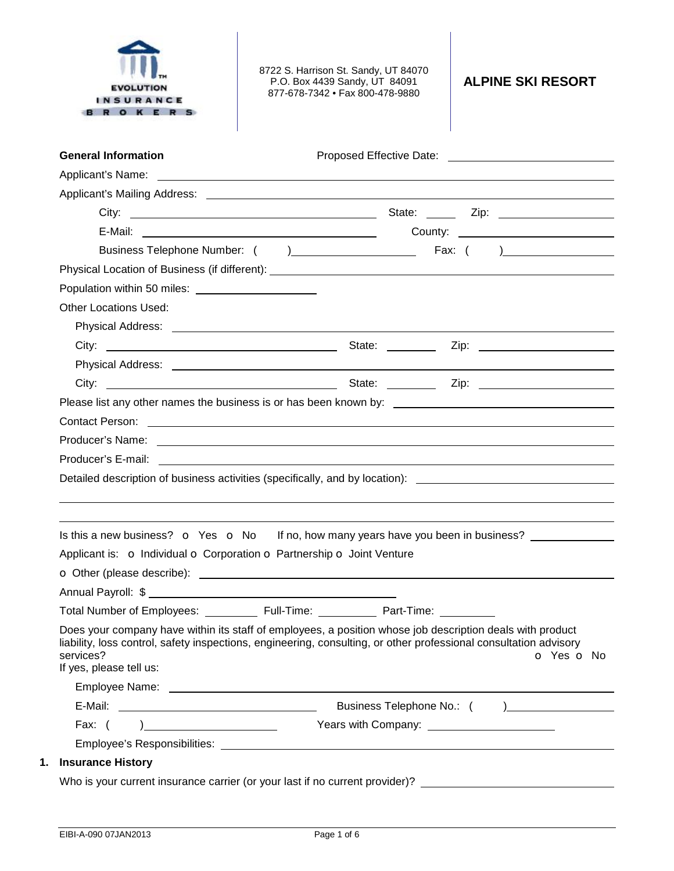| SURAN<br>O K E                                             | 8722 S. Harrison St. Sandy, UT 84070<br>P.O. Box 4439 Sandy, UT 84091<br>877-678-7342 • Fax 800-478-9880                                                                                                                             | <b>ALPINE SKI RESORT</b> |
|------------------------------------------------------------|--------------------------------------------------------------------------------------------------------------------------------------------------------------------------------------------------------------------------------------|--------------------------|
| <b>General Information</b>                                 |                                                                                                                                                                                                                                      |                          |
|                                                            |                                                                                                                                                                                                                                      |                          |
|                                                            |                                                                                                                                                                                                                                      |                          |
|                                                            |                                                                                                                                                                                                                                      |                          |
|                                                            |                                                                                                                                                                                                                                      |                          |
|                                                            |                                                                                                                                                                                                                                      |                          |
|                                                            |                                                                                                                                                                                                                                      |                          |
|                                                            |                                                                                                                                                                                                                                      |                          |
| <b>Other Locations Used:</b>                               |                                                                                                                                                                                                                                      |                          |
|                                                            |                                                                                                                                                                                                                                      |                          |
|                                                            |                                                                                                                                                                                                                                      |                          |
|                                                            |                                                                                                                                                                                                                                      |                          |
|                                                            |                                                                                                                                                                                                                                      |                          |
|                                                            |                                                                                                                                                                                                                                      |                          |
|                                                            |                                                                                                                                                                                                                                      |                          |
|                                                            |                                                                                                                                                                                                                                      |                          |
| Producer's E-mail: <u>________________________________</u> |                                                                                                                                                                                                                                      |                          |
|                                                            | Detailed description of business activities (specifically, and by location): _________________________________                                                                                                                       |                          |
|                                                            |                                                                                                                                                                                                                                      |                          |
|                                                            |                                                                                                                                                                                                                                      |                          |
|                                                            | Is this a new business? $\bullet$ Yes $\bullet$ No If no, how many years have you been in business?                                                                                                                                  |                          |
|                                                            | Applicant is: o Individual o Corporation o Partnership o Joint Venture                                                                                                                                                               |                          |
|                                                            | O Other (please describe): <u>contract and contract and contract and contract and contract and contract and contract and contract and contract and contract and contract and contract and contract and contract and contract and</u> |                          |
|                                                            |                                                                                                                                                                                                                                      |                          |
|                                                            |                                                                                                                                                                                                                                      |                          |
| services?<br>If yes, please tell us:                       | Does your company have within its staff of employees, a position whose job description deals with product<br>liability, loss control, safety inspections, engineering, consulting, or other professional consultation advisory       | O Yes O No               |
|                                                            |                                                                                                                                                                                                                                      |                          |
|                                                            | Years with Company: <u>contained a series of the series of the series of the series of the series of the series of the series of the series of the series of the series of the series of the series of the series of the series </u> |                          |
|                                                            |                                                                                                                                                                                                                                      |                          |
| 1. Insurance History                                       |                                                                                                                                                                                                                                      |                          |
|                                                            |                                                                                                                                                                                                                                      |                          |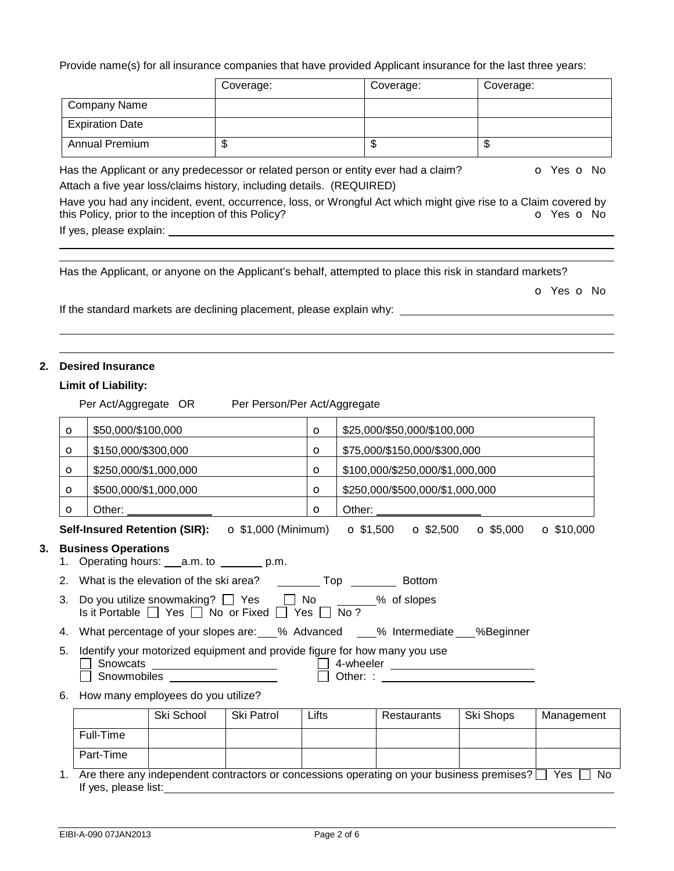Provide name(s) for all insurance companies that have provided Applicant insurance for the last three years:

|                        | Coverage: | Coverage: | Coverage: |
|------------------------|-----------|-----------|-----------|
| <b>Company Name</b>    |           |           |           |
| <b>Expiration Date</b> |           |           |           |
| <b>Annual Premium</b>  | J         | \$        | J         |

Has the Applicant or any predecessor or related person or entity ever had a claim?  $\bullet$  Yes  $\bullet$  No Attach a five year loss/claims history, including details. (REQUIRED)

Have you had any incident, event, occurrence, loss, or Wrongful Act which might give rise to a Claim covered by this Policy?<br> **O** Yes **O** No this Policy, prior to the inception of this Policy? If yes, please explain:

Has the Applicant, or anyone on the Applicant's behalf, attempted to place this risk in standard markets?

o Yes o No

If the standard markets are declining placement, please explain why:

#### **2. Desired Insurance**

 

 

#### **Limit of Liability:**

|                                                                                                                                                                                                                                                                                                                                                                                                                                                                                                                                                                       |                                                                     |                                                                 | Per Act/Aggregate OR Per Person/Per Act/Aggregate                                                           |         |  |                                 |           |            |
|-----------------------------------------------------------------------------------------------------------------------------------------------------------------------------------------------------------------------------------------------------------------------------------------------------------------------------------------------------------------------------------------------------------------------------------------------------------------------------------------------------------------------------------------------------------------------|---------------------------------------------------------------------|-----------------------------------------------------------------|-------------------------------------------------------------------------------------------------------------|---------|--|---------------------------------|-----------|------------|
| $\circ$                                                                                                                                                                                                                                                                                                                                                                                                                                                                                                                                                               | \$50,000/\$100,000<br>\$25,000/\$50,000/\$100,000<br>$\circ$        |                                                                 |                                                                                                             |         |  |                                 |           |            |
| $\circ$                                                                                                                                                                                                                                                                                                                                                                                                                                                                                                                                                               | \$150,000/\$300,000<br>\$75,000/\$150,000/\$300,000<br>$\circ$      |                                                                 |                                                                                                             |         |  |                                 |           |            |
| $\circ$                                                                                                                                                                                                                                                                                                                                                                                                                                                                                                                                                               | \$250,000/\$1,000,000<br>\$100,000/\$250,000/\$1,000,000<br>$\circ$ |                                                                 |                                                                                                             |         |  |                                 |           |            |
| $\circ$                                                                                                                                                                                                                                                                                                                                                                                                                                                                                                                                                               |                                                                     | \$500,000/\$1,000,000                                           |                                                                                                             | $\circ$ |  | \$250,000/\$500,000/\$1,000,000 |           |            |
| $\circ$                                                                                                                                                                                                                                                                                                                                                                                                                                                                                                                                                               |                                                                     |                                                                 |                                                                                                             | $\circ$ |  |                                 |           |            |
|                                                                                                                                                                                                                                                                                                                                                                                                                                                                                                                                                                       |                                                                     |                                                                 | Self-Insured Retention (SIR): ○ \$1,000 (Minimum) ○ \$1,500 ○ \$2,500 ○ \$5,000 ○ \$10,000                  |         |  |                                 |           |            |
| <b>Business Operations</b><br>What is the elevation of the ski area? ___________ Top _____________ Bottom<br>2.<br>Do you utilize snowmaking? $\Box$ Yes $\Box$ No $\_\_\_\_\_\_\_\_\_\$ % of slopes<br>3.<br>Is it Portable $\Box$ Yes $\Box$ No or Fixed $\Box$ Yes $\Box$ No?<br>4. What percentage of your slopes are: 6 % Advanced 4. Mermediate 4. What percentage of your slopes are: 4. Mo<br>5. Identify your motorized equipment and provide figure for how many you use<br>$\Box$ Snowcats _______________________ $\Box$ 4-wheeler ______________________ |                                                                     |                                                                 |                                                                                                             |         |  |                                 |           |            |
| 6.                                                                                                                                                                                                                                                                                                                                                                                                                                                                                                                                                                    |                                                                     | $\Box$ Snowmobiles $\_\_$<br>How many employees do you utilize? |                                                                                                             |         |  |                                 |           |            |
|                                                                                                                                                                                                                                                                                                                                                                                                                                                                                                                                                                       |                                                                     | Ski School                                                      | Ski Patrol                                                                                                  | Lifts   |  | Restaurants                     | Ski Shops | Management |
|                                                                                                                                                                                                                                                                                                                                                                                                                                                                                                                                                                       | Full-Time                                                           |                                                                 |                                                                                                             |         |  |                                 |           |            |
|                                                                                                                                                                                                                                                                                                                                                                                                                                                                                                                                                                       | Part-Time                                                           |                                                                 |                                                                                                             |         |  |                                 |           |            |
| 1.                                                                                                                                                                                                                                                                                                                                                                                                                                                                                                                                                                    | If yes, please list:                                                |                                                                 | Are there any independent contractors or concessions operating on your business premises? $\Box$ Yes $\Box$ |         |  |                                 |           | No.        |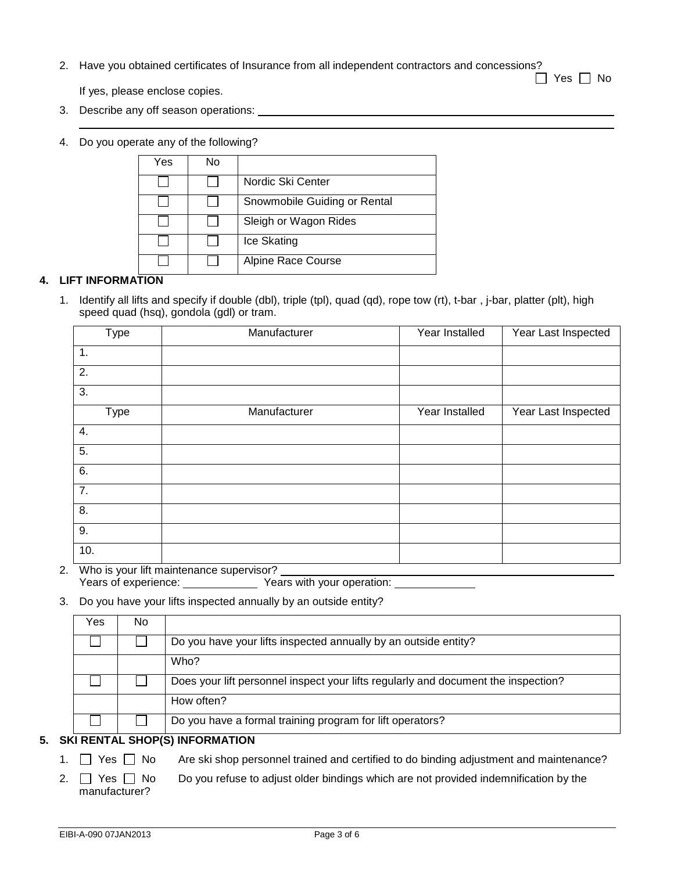2. Have you obtained certificates of Insurance from all independent contractors and concessions?

 $\Box$  Yes  $\Box$  No

If yes, please enclose copies.

- 3. Describe any off season operations:
- 4. Do you operate any of the following?

| Yes | No |                              |
|-----|----|------------------------------|
|     |    | Nordic Ski Center            |
|     |    | Snowmobile Guiding or Rental |
|     |    | Sleigh or Wagon Rides        |
|     |    | Ice Skating                  |
|     |    | <b>Alpine Race Course</b>    |

### **4. LIFT INFORMATION**

1. Identify all lifts and specify if double (dbl), triple (tpl), quad (qd), rope tow (rt), t-bar , j-bar, platter (plt), high speed quad (hsq), gondola (gdl) or tram.

| Type             | Manufacturer  | Year Installed | Year Last Inspected |
|------------------|---------------|----------------|---------------------|
| 1.               |               |                |                     |
| 2.               |               |                |                     |
| 3.               |               |                |                     |
| Type             | Manufacturer  | Year Installed | Year Last Inspected |
| 4.               |               |                |                     |
| 5.               |               |                |                     |
| 6.               |               |                |                     |
| $\overline{7}$ . |               |                |                     |
| 8.               |               |                |                     |
| 9.               |               |                |                     |
| 10.<br>$\cdots$  | $\sim$ $\sim$ |                |                     |

2. Who is your lift maintenance supervisor? Years of experience: Years with your operation:

#### 3. Do you have your lifts inspected annually by an outside entity?

| Yes | No |                                                                                    |
|-----|----|------------------------------------------------------------------------------------|
|     |    | Do you have your lifts inspected annually by an outside entity?                    |
|     |    | Who?                                                                               |
|     |    | Does your lift personnel inspect your lifts regularly and document the inspection? |
|     |    | How often?                                                                         |
|     |    | Do you have a formal training program for lift operators?                          |

# **5. SKI RENTAL SHOP(S) INFORMATION**

- 1.  $\Box$  Yes  $\Box$  No Are ski shop personnel trained and certified to do binding adjustment and maintenance?
- 2.  $\Box$  Yes  $\Box$  No Do you refuse to adjust older bindings which are not provided indemnification by the manufacturer?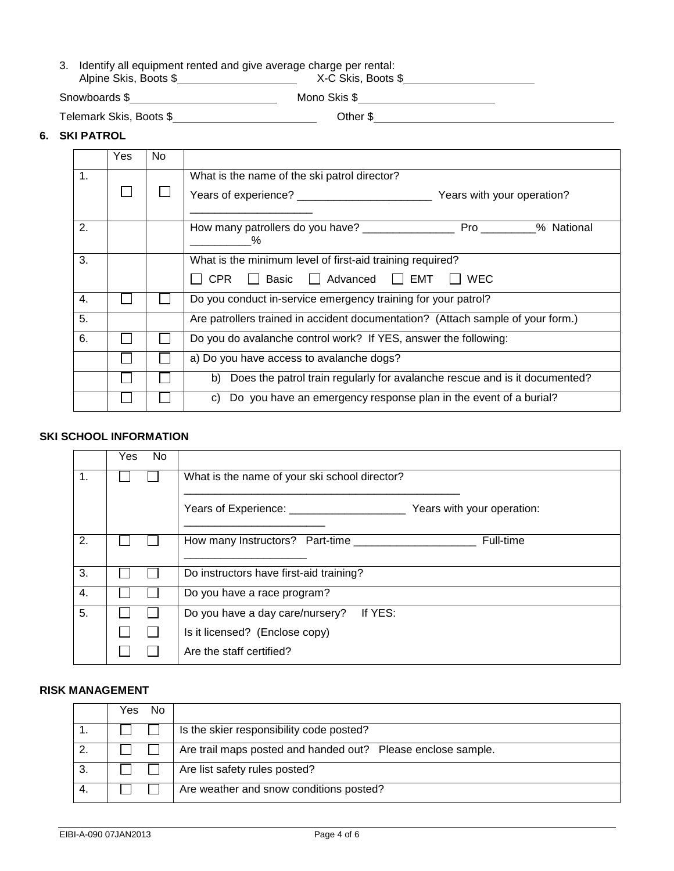|                       | 3. Identify all equipment rented and give average charge per rental: |
|-----------------------|----------------------------------------------------------------------|
| Alpine Skis, Boots \$ | X-C Skis, Boots \$                                                   |

Snowboards \$ Mono Skis \$

Telemark Skis, Boots \$ Other \$

### **6. SKI PATROL**

|                | Yes. | No. |                                                                                 |  |  |  |
|----------------|------|-----|---------------------------------------------------------------------------------|--|--|--|
| $\mathbf{1}$ . |      |     | What is the name of the ski patrol director?                                    |  |  |  |
|                |      |     |                                                                                 |  |  |  |
| 2.             |      |     | Pro % National<br>How many patrollers do you have?<br>$\%$                      |  |  |  |
| 3.             |      |     | What is the minimum level of first-aid training required?                       |  |  |  |
|                |      |     | ■ Basic ■ Advanced ■ EMT ■ WEC<br>CPR                                           |  |  |  |
| 4.             |      |     | Do you conduct in-service emergency training for your patrol?                   |  |  |  |
| 5.             |      |     | Are patrollers trained in accident documentation? (Attach sample of your form.) |  |  |  |
| 6.             |      |     | Do you do avalanche control work? If YES, answer the following:                 |  |  |  |
|                |      |     | a) Do you have access to avalanche dogs?                                        |  |  |  |
|                |      |     | b) Does the patrol train regularly for avalanche rescue and is it documented?   |  |  |  |
|                |      |     | Do you have an emergency response plan in the event of a burial?<br>C)          |  |  |  |

## **SKI SCHOOL INFORMATION**

|                | Yes<br>No. |                                               |
|----------------|------------|-----------------------------------------------|
| $\mathbf{1}$ . |            | What is the name of your ski school director? |
|                |            | Years with your operation:                    |
| 2.             |            | Full-time<br>How many Instructors? Part-time  |
| 3.             |            | Do instructors have first-aid training?       |
| 4.             |            | Do you have a race program?                   |
| 5.             |            | If YES:<br>Do you have a day care/nursery?    |
|                |            | Is it licensed? (Enclose copy)                |
|                |            | Are the staff certified?                      |

# **RISK MANAGEMENT**

| No.<br>Yes. |                                                              |
|-------------|--------------------------------------------------------------|
|             | Is the skier responsibility code posted?                     |
|             | Are trail maps posted and handed out? Please enclose sample. |
|             | Are list safety rules posted?                                |
|             | Are weather and snow conditions posted?                      |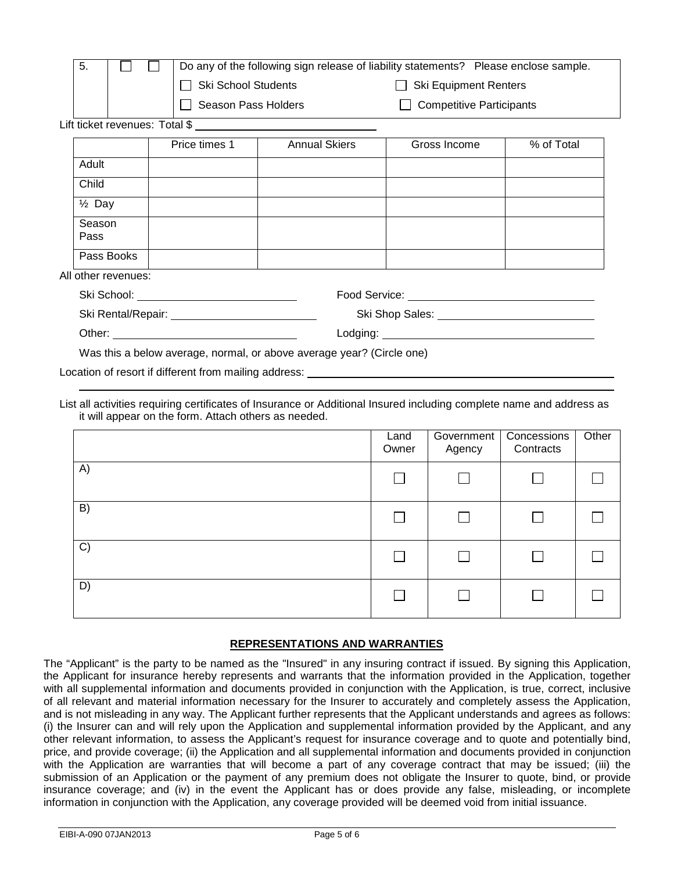| 5.                  |                                                                       | Do any of the following sign release of liability statements? Please enclose sample. |                      |                                                                                                                                                                                                                                |            |  |  |  |  |
|---------------------|-----------------------------------------------------------------------|--------------------------------------------------------------------------------------|----------------------|--------------------------------------------------------------------------------------------------------------------------------------------------------------------------------------------------------------------------------|------------|--|--|--|--|
|                     |                                                                       | <b>Ski School Students</b>                                                           |                      | <b>Ski Equipment Renters</b>                                                                                                                                                                                                   |            |  |  |  |  |
|                     |                                                                       | Season Pass Holders                                                                  |                      | <b>Competitive Participants</b>                                                                                                                                                                                                |            |  |  |  |  |
|                     |                                                                       |                                                                                      |                      |                                                                                                                                                                                                                                |            |  |  |  |  |
|                     |                                                                       | Price times 1                                                                        | <b>Annual Skiers</b> | Gross Income                                                                                                                                                                                                                   | % of Total |  |  |  |  |
| Adult               |                                                                       |                                                                                      |                      |                                                                                                                                                                                                                                |            |  |  |  |  |
| Child               |                                                                       |                                                                                      |                      |                                                                                                                                                                                                                                |            |  |  |  |  |
| $\frac{1}{2}$ Day   |                                                                       |                                                                                      |                      |                                                                                                                                                                                                                                |            |  |  |  |  |
| Season<br>Pass      |                                                                       |                                                                                      |                      |                                                                                                                                                                                                                                |            |  |  |  |  |
| Pass Books          |                                                                       |                                                                                      |                      |                                                                                                                                                                                                                                |            |  |  |  |  |
| All other revenues: |                                                                       |                                                                                      |                      |                                                                                                                                                                                                                                |            |  |  |  |  |
|                     |                                                                       |                                                                                      |                      | Food Service: University of the Service of the Service of the Service of the Service of the Service of the Service of the Service of the Service of the Service of the Service of the Service of the Service of the Service of |            |  |  |  |  |
|                     |                                                                       |                                                                                      |                      |                                                                                                                                                                                                                                |            |  |  |  |  |
|                     |                                                                       |                                                                                      |                      |                                                                                                                                                                                                                                |            |  |  |  |  |
|                     | Was this a below average, normal, or above average year? (Circle one) |                                                                                      |                      |                                                                                                                                                                                                                                |            |  |  |  |  |
|                     |                                                                       | Location of resort if different from mailing address:                                |                      |                                                                                                                                                                                                                                |            |  |  |  |  |

List all activities requiring certificates of Insurance or Additional Insured including complete name and address as it will appear on the form. Attach others as needed.

|    | Land<br>Owner | Government<br>Agency | Concessions<br>Contracts | Other |
|----|---------------|----------------------|--------------------------|-------|
| A) |               |                      |                          |       |
| B) |               | $\mathbf{I}$         |                          |       |
| C) |               |                      |                          |       |
| D) |               |                      |                          |       |

### **REPRESENTATIONS AND WARRANTIES**

The "Applicant" is the party to be named as the "Insured" in any insuring contract if issued. By signing this Application, the Applicant for insurance hereby represents and warrants that the information provided in the Application, together with all supplemental information and documents provided in conjunction with the Application, is true, correct, inclusive of all relevant and material information necessary for the Insurer to accurately and completely assess the Application, and is not misleading in any way. The Applicant further represents that the Applicant understands and agrees as follows: (i) the Insurer can and will rely upon the Application and supplemental information provided by the Applicant, and any other relevant information, to assess the Applicant's request for insurance coverage and to quote and potentially bind, price, and provide coverage; (ii) the Application and all supplemental information and documents provided in conjunction with the Application are warranties that will become a part of any coverage contract that may be issued; (iii) the submission of an Application or the payment of any premium does not obligate the Insurer to quote, bind, or provide insurance coverage; and (iv) in the event the Applicant has or does provide any false, misleading, or incomplete information in conjunction with the Application, any coverage provided will be deemed void from initial issuance.